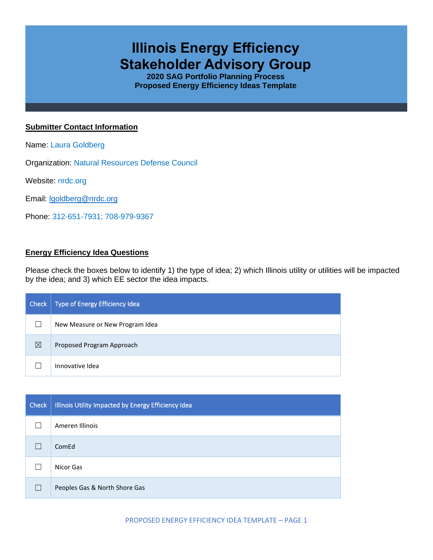# **Illinois Energy Efficiency Stakeholder Advisory Group**

**2020 SAG Portfolio Planning Process Proposed Energy Efficiency Ideas Template**

## **Submitter Contact Information**

Name: Laura Goldberg

Organization: Natural Resources Defense Council

Website: nrdc.org

Email: [lgoldberg@nrdc.org](mailto:lgoldberg@nrdc.org)

Phone: 312-651-7931; 708-979-9367

# **Energy Efficiency Idea Questions**

Please check the boxes below to identify 1) the type of idea; 2) which Illinois utility or utilities will be impacted by the idea; and 3) which EE sector the idea impacts.

| Check | Type of Energy Efficiency Idea  |
|-------|---------------------------------|
|       | New Measure or New Program Idea |
| ⊠     | Proposed Program Approach       |
|       | Innovative Idea                 |

| <b>Check</b> | Illinois Utility Impacted by Energy Efficiency Idea |
|--------------|-----------------------------------------------------|
|              | Ameren Illinois                                     |
|              | ComEd                                               |
|              | Nicor Gas                                           |
|              | Peoples Gas & North Shore Gas                       |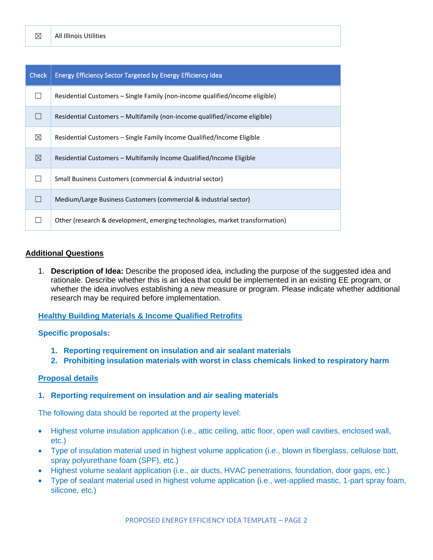| <b>Check</b> | <b>Energy Efficiency Sector Targeted by Energy Efficiency Idea</b>           |
|--------------|------------------------------------------------------------------------------|
|              | Residential Customers – Single Family (non-income qualified/income eligible) |
|              | Residential Customers – Multifamily (non-income qualified/income eligible)   |
| ⊠            | Residential Customers – Single Family Income Qualified/Income Eligible       |
| ⊠            | Residential Customers – Multifamily Income Qualified/Income Eligible         |
|              | Small Business Customers (commercial & industrial sector)                    |
|              | Medium/Large Business Customers (commercial & industrial sector)             |
|              | Other (research & development, emerging technologies, market transformation) |

## **Additional Questions**

1. **Description of Idea:** Describe the proposed idea, including the purpose of the suggested idea and rationale. Describe whether this is an idea that could be implemented in an existing EE program, or whether the idea involves establishing a new measure or program. Please indicate whether additional research may be required before implementation.

#### **Healthy Building Materials & Income Qualified Retrofits**

#### **Specific proposals:**

- **1. Reporting requirement on insulation and air sealant materials**
- **2. Prohibiting insulation materials with worst in class chemicals linked to respiratory harm**

#### **Proposal details**

#### **1. Reporting requirement on insulation and air sealing materials**

The following data should be reported at the property level:

- Highest volume insulation application (i.e., attic ceiling, attic floor, open wall cavities, enclosed wall, etc.)
- Type of insulation material used in highest volume application (i.e., blown in fiberglass, cellulose batt, spray polyurethane foam (SPF), etc.)
- Highest volume sealant application (i.e., air ducts, HVAC penetrations, foundation, door gaps, etc.)
- Type of sealant material used in highest volume application (i.e., wet-applied mastic, 1-part spray foam, silicone, etc.)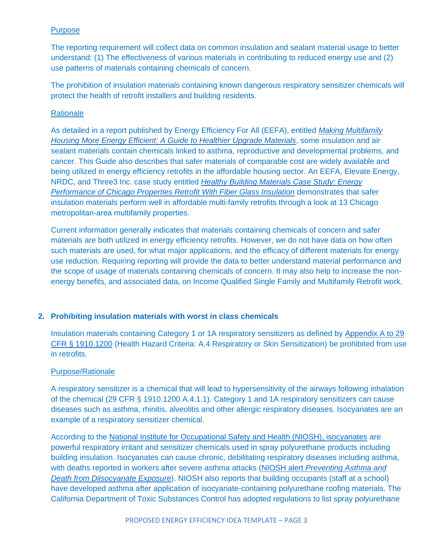# Purpose

The reporting requirement will collect data on common insulation and sealant material usage to better understand: (1) The effectiveness of various materials in contributing to reduced energy use and (2) use patterns of materials containing chemicals of concern.

The prohibition of insulation materials containing known dangerous respiratory sensitizer chemicals will protect the health of retrofit installers and building residents.

## **Rationale**

As detailed in a report published by Energy Efficiency For All (EEFA), entitled *[Making Multifamily](https://assets.ctfassets.net/ntcn17ss1ow9/3Bw3JFqYHgI7xWcvb7unwN/ec90d476bc2fd1315fb018eeeb467978/NRDC-3084_Guide_to_Healthier_Retrofit_Hi-res_smaller.pdf)  [Housing More Energy Efficient: A Guide to Healthier Upgrade Materials](https://assets.ctfassets.net/ntcn17ss1ow9/3Bw3JFqYHgI7xWcvb7unwN/ec90d476bc2fd1315fb018eeeb467978/NRDC-3084_Guide_to_Healthier_Retrofit_Hi-res_smaller.pdf)*, some insulation and air sealant materials contain chemicals linked to asthma, reproductive and developmental problems, and cancer. This Guide also describes that safer materials of comparable cost are widely available and being utilized in energy efficiency retrofits in the affordable housing sector. An EEFA, Elevate Energy, NRDC, and Three3 Inc. case study entitled *[Healthy Building Materials Case Study: Energy](https://assets.ctfassets.net/ntcn17ss1ow9/2QzVAhrRCOziSkQ6g2y1WI/87edb9764e2c9d1bda72fed4571c9b95/EE_Chicago_report_FINAL.pdf)  [Performance of Chicago Properties Retrofit With Fiber Glass Insulation](https://assets.ctfassets.net/ntcn17ss1ow9/2QzVAhrRCOziSkQ6g2y1WI/87edb9764e2c9d1bda72fed4571c9b95/EE_Chicago_report_FINAL.pdf)* demonstrates that safer insulation materials perform well in affordable multi-family retrofits through a look at 13 Chicago metropolitan-area multifamily properties.

Current information generally indicates that materials containing chemicals of concern and safer materials are both utilized in energy efficiency retrofits. However, we do not have data on how often such materials are used, for what major applications, and the efficacy of different materials for energy use reduction. Requiring reporting will provide the data to better understand material performance and the scope of usage of materials containing chemicals of concern. It may also help to increase the nonenergy benefits, and associated data, on Income Qualified Single Family and Multifamily Retrofit work.

#### **2. Prohibiting insulation materials with worst in class chemicals**

Insulation materials containing Category 1 or 1A respiratory sensitizers as defined by [Appendix A to 29](https://www.law.cornell.edu/cfr/text/29/1910.1200)  [CFR § 1910.1200](https://www.law.cornell.edu/cfr/text/29/1910.1200) (Health Hazard Criteria: A.4 Respiratory or Skin Sensitization) be prohibited from use in retrofits.

#### Purpose/Rationale

A respiratory sensitizer is a chemical that will lead to hypersensitivity of the airways following inhalation of the chemical (29 CFR § 1910.1200 A.4.1.1). Category 1 and 1A respiratory sensitizers can cause diseases such as asthma, rhinitis, alveolitis and other allergic respiratory diseases. Isocyanates are an example of a respiratory sensitizer chemical.

According to the [National Institute for Occupational Safety and Health \(NIOSH\), isocyanates](https://www.cdc.gov/niosh/topics/isocyanates/default.html) are powerful respiratory irritant and sensitizer chemicals used in spray polyurethane products including building insulation. Isocyanates can cause chronic, debilitating respiratory diseases including asthma, with deaths reported in workers after severe asthma attacks (NIOSH alert *[Preventing Asthma and](https://www.cdc.gov/niosh/docs/96-111/))  [Death from Diisocyanate Exposure](https://www.cdc.gov/niosh/docs/96-111/))*). NIOSH also reports that building occupants (staff at a school) have developed asthma after application of isocyanate-containing polyurethane roofing materials. The California Department of Toxic Substances Control has adopted regulations to list spray polyurethane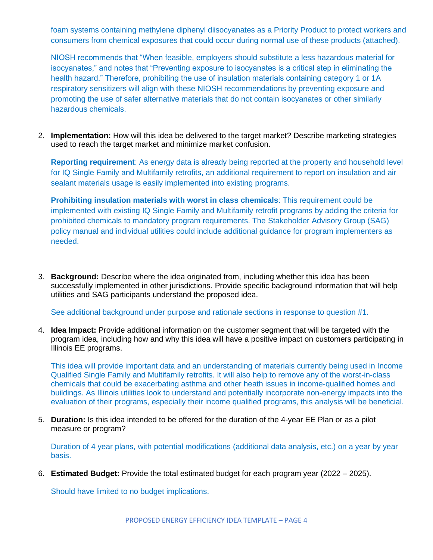foam systems containing methylene diphenyl diisocyanates as a Priority Product to protect workers and consumers from chemical exposures that could occur during normal use of these products (attached).

NIOSH recommends that "When feasible, employers should substitute a less hazardous material for isocyanates," and notes that "Preventing exposure to isocyanates is a critical step in eliminating the health hazard." Therefore, prohibiting the use of insulation materials containing category 1 or 1A respiratory sensitizers will align with these NIOSH recommendations by preventing exposure and promoting the use of safer alternative materials that do not contain isocyanates or other similarly hazardous chemicals.

2. **Implementation:** How will this idea be delivered to the target market? Describe marketing strategies used to reach the target market and minimize market confusion.

**Reporting requirement**: As energy data is already being reported at the property and household level for IQ Single Family and Multifamily retrofits, an additional requirement to report on insulation and air sealant materials usage is easily implemented into existing programs.

**Prohibiting insulation materials with worst in class chemicals**: This requirement could be implemented with existing IQ Single Family and Multifamily retrofit programs by adding the criteria for prohibited chemicals to mandatory program requirements. The Stakeholder Advisory Group (SAG) policy manual and individual utilities could include additional guidance for program implementers as needed.

3. **Background:** Describe where the idea originated from, including whether this idea has been successfully implemented in other jurisdictions. Provide specific background information that will help utilities and SAG participants understand the proposed idea.

See additional background under purpose and rationale sections in response to question #1.

4. **Idea Impact:** Provide additional information on the customer segment that will be targeted with the program idea, including how and why this idea will have a positive impact on customers participating in Illinois EE programs.

This idea will provide important data and an understanding of materials currently being used in Income Qualified Single Family and Multifamily retrofits. It will also help to remove any of the worst-in-class chemicals that could be exacerbating asthma and other heath issues in income-qualified homes and buildings. As Illinois utilities look to understand and potentially incorporate non-energy impacts into the evaluation of their programs, especially their income qualified programs, this analysis will be beneficial.

5. **Duration:** Is this idea intended to be offered for the duration of the 4-year EE Plan or as a pilot measure or program?

Duration of 4 year plans, with potential modifications (additional data analysis, etc.) on a year by year basis.

6. **Estimated Budget:** Provide the total estimated budget for each program year (2022 – 2025).

Should have limited to no budget implications.